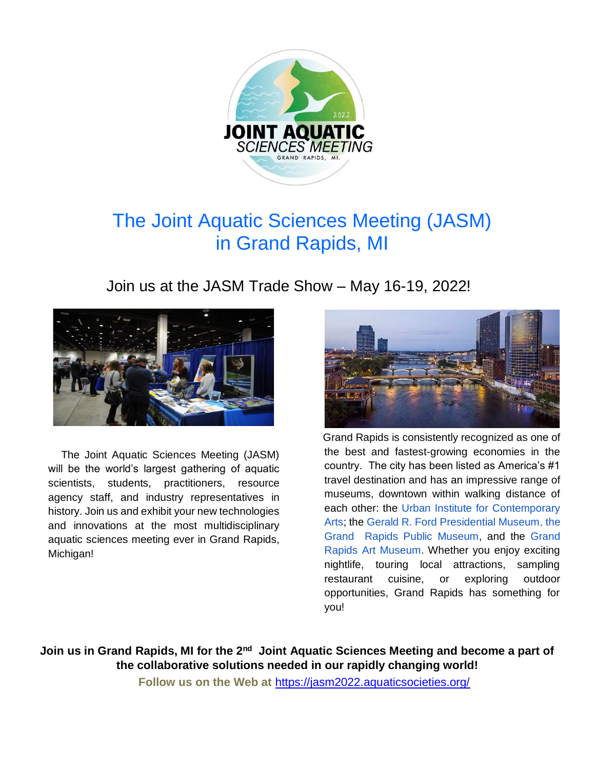

# The Joint Aquatic Sciences Meeting (JASM) in Grand Rapids, MI

Join us at the JASM Trade Show – May 16-19, 2022!



The Joint Aquatic Sciences Meeting (JASM) will be the world's largest gathering of aquatic scientists, students, practitioners, resource agency staff, and industry representatives in history. Join us and exhibit your new technologies and innovations at the most multidisciplinary aquatic sciences meeting ever in Grand Rapids, Michigan!



Grand Rapids is consistently recognized as one of the best and fastest-growing economies in the country. The city has been listed as America's #1 travel destination and has an impressive range of museums, downtown within walking distance of each other: the [Urban Institute for Contemporary](http://www.uica.org/)  [Arts;](http://www.uica.org/) the [Gerald R. Ford Presidential Museum,](http://www.fordlibrarymuseum.gov/) the [Grand Rapids Public Museum,](http://www.grpm.org/) and the [Grand](http://www.artmuseumgr.org/)  [Rapids Art Museum.](http://www.artmuseumgr.org/) Whether you enjoy exciting nightlife, touring local attractions, sampling restaurant cuisine, or exploring outdoor opportunities, Grand Rapids has something for you!

Join us in Grand Rapids, MI for the 2<sup>nd</sup> Joint Aquatic Sciences Meeting and become a part of **the collaborative solutions needed in our rapidly changing world!** 

**Follow us on the Web at** <https://jasm2022.aquaticsocieties.org/>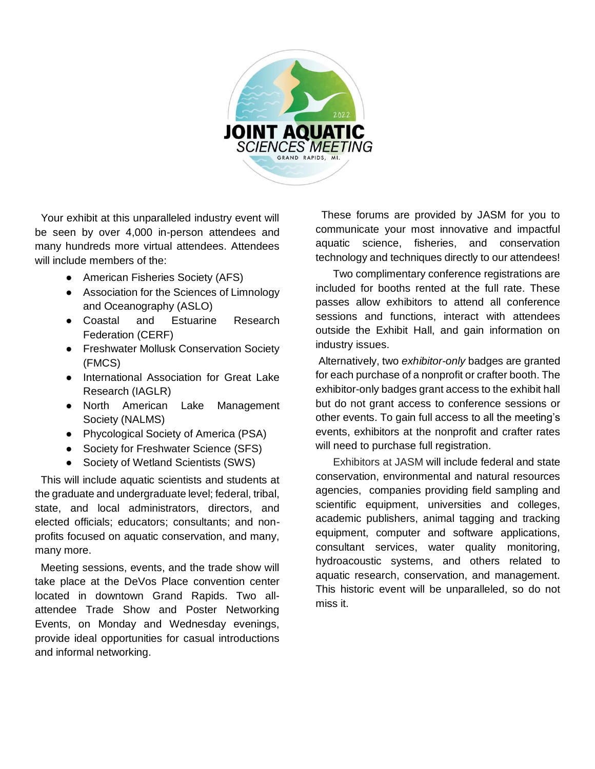

 Your exhibit at this unparalleled industry event will be seen by over 4,000 in-person attendees and many hundreds more virtual attendees. Attendees will include members of the:

- American Fisheries Society (AFS)
- Association for the Sciences of Limnology and Oceanography (ASLO)
- Coastal and Estuarine Research Federation (CERF)
- Freshwater Mollusk Conservation Society (FMCS)
- International Association for Great Lake Research (IAGLR)
- North American Lake Management Society (NALMS)
- Phycological Society of America (PSA)
- Society for Freshwater Science (SFS)
- Society of Wetland Scientists (SWS)

 This will include aquatic scientists and students at the graduate and undergraduate level; federal, tribal, state, and local administrators, directors, and elected officials; educators; consultants; and nonprofits focused on aquatic conservation, and many, many more.

 Meeting sessions, events, and the trade show will take place at the DeVos Place convention center located in downtown Grand Rapids. Two allattendee Trade Show and Poster Networking Events, on Monday and Wednesday evenings, provide ideal opportunities for casual introductions and informal networking.

These forums are provided by JASM for you to communicate your most innovative and impactful aquatic science, fisheries, and conservation technology and techniques directly to our attendees!

Two complimentary conference registrations are included for booths rented at the full rate. These passes allow exhibitors to attend all conference sessions and functions, interact with attendees outside the Exhibit Hall, and gain information on industry issues.

Alternatively, two *exhibitor-only* badges are granted for each purchase of a nonprofit or crafter booth. The exhibitor-only badges grant access to the exhibit hall but do not grant access to conference sessions or other events. To gain full access to all the meeting's events, exhibitors at the nonprofit and crafter rates will need to purchase full registration.

Exhibitors at JASM will include federal and state conservation, environmental and natural resources agencies, companies providing field sampling and scientific equipment, universities and colleges, academic publishers, animal tagging and tracking equipment, computer and software applications, consultant services, water quality monitoring, hydroacoustic systems, and others related to aquatic research, conservation, and management. This historic event will be unparalleled, so do not miss it.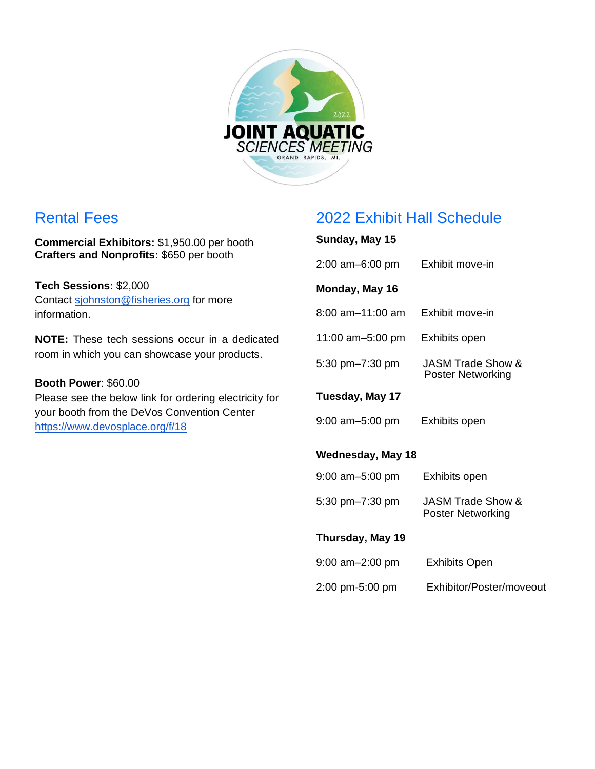

### Rental Fees

**Commercial Exhibitors:** \$1,950.00 per booth **Crafters and Nonprofits:** \$650 per booth

**Tech Sessions:** \$2,000 Contact [sjohnston@fisheries.org](mailto:sjohnston@fisheries.org) for more information.

**NOTE:** These tech sessions occur in a dedicated room in which you can showcase your products.

**Booth Power**: \$60.00 Please see the below link for ordering electricity for your booth from the DeVos Convention Center <https://www.devosplace.org/f/18>

## 2022 Exhibit Hall Schedule

# **Sunday, May 15** 2:00 am–6:00 pm Exhibit move-in **Monday, May 16**  8:00 am–11:00 am Exhibit move-in 11:00 am–5:00 pm Exhibits open 5:30 pm–7:30 pm JASM Trade Show & Poster Networking **Tuesday, May 17**  9:00 am–5:00 pm Exhibits open **Wednesday, May 18**  9:00 am–5:00 pm Exhibits open 5:30 pm–7:30 pm JASM Trade Show & Poster Networking **Thursday, May 19** 9:00 am–2:00 pm Exhibits Open 2:00 pm-5:00 pm Exhibitor/Poster/moveout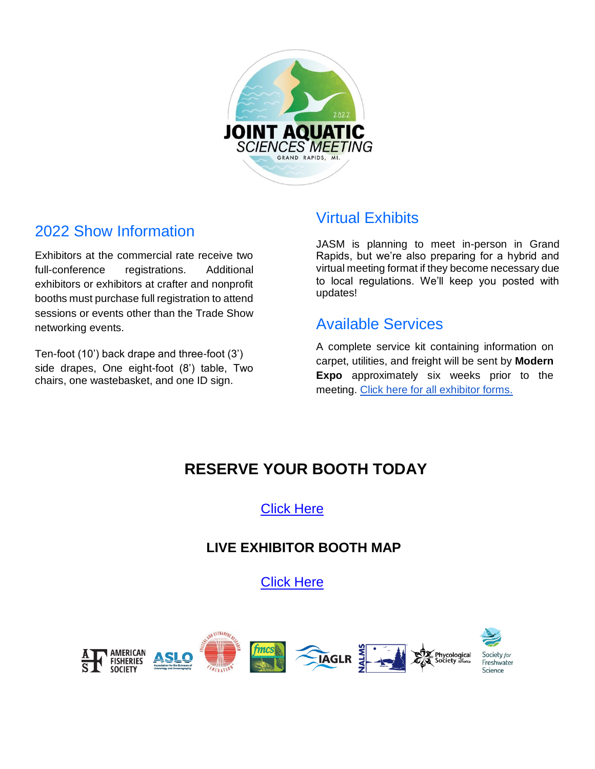

### 2022 Show Information

Exhibitors at the commercial rate receive two full-conference registrations. Additional exhibitors or exhibitors at crafter and nonprofit booths must purchase full registration to attend sessions or events other than the Trade Show networking events.

Ten-foot (10') back drape and three-foot (3') side drapes, One eight-foot (8') table, Two chairs, one wastebasket, and one ID sign.

#### Virtual Exhibits

JASM is planning to meet in-person in Grand Rapids, but we're also preparing for a hybrid and virtual meeting format if they become necessary due to local regulations. We'll keep you posted with updates!

#### Available Services

A complete service kit containing information on carpet, utilities, and freight will be sent by **Modern Expo** approximately six weeks prior to the meeting. [Click here for all exhibitor forms.](https://www.devosplace.org/p/visit/exhibitor-forms) 

# **RESERVE YOUR BOOTH TODAY**

[Click Here](https://www.xcdsystem.com/afs/exhibitor/index.cfm?ID=JUCNMJY)

#### **LIVE EXHIBITOR BOOTH MAP**

[Click](https://afs.econference.io/floorplan/#/RiVp8Is/floorplan) Here